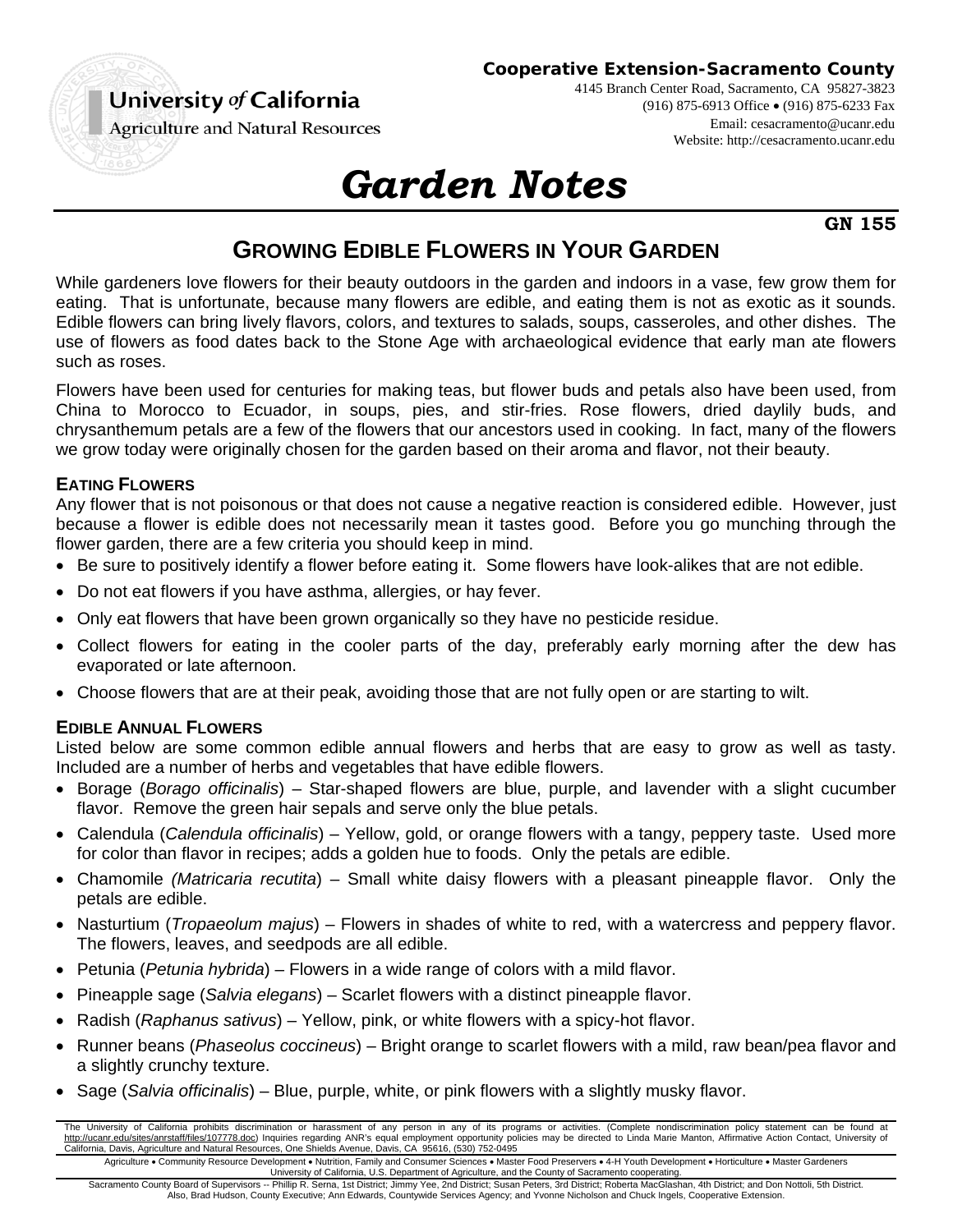

**Cooperative Extension-Sacramento County**

4145 Branch Center Road, Sacramento, CA 95827-3823 (916) 875-6913 Office (916) 875-6233 Fax Email: cesacramento@ucanr.edu Website: http://cesacramento.ucanr.edu

**Agriculture and Natural Resources** 

# *Garden Notes*

**GN 155** 

## **GROWING EDIBLE FLOWERS IN YOUR GARDEN**

While gardeners love flowers for their beauty outdoors in the garden and indoors in a vase, few grow them for eating. That is unfortunate, because many flowers are edible, and eating them is not as exotic as it sounds. Edible flowers can bring lively flavors, colors, and textures to salads, soups, casseroles, and other dishes. The use of flowers as food dates back to the Stone Age with archaeological evidence that early man ate flowers such as roses.

Flowers have been used for centuries for making teas, but flower buds and petals also have been used, from China to Morocco to Ecuador, in soups, pies, and stir-fries. Rose flowers, dried daylily buds, and chrysanthemum petals are a few of the flowers that our ancestors used in cooking. In fact, many of the flowers we grow today were originally chosen for the garden based on their aroma and flavor, not their beauty.

#### **EATING FLOWERS**

Any flower that is not poisonous or that does not cause a negative reaction is considered edible. However, just because a flower is edible does not necessarily mean it tastes good. Before you go munching through the flower garden, there are a few criteria you should keep in mind.

- Be sure to positively identify a flower before eating it. Some flowers have look-alikes that are not edible.
- Do not eat flowers if you have asthma, allergies, or hay fever.
- Only eat flowers that have been grown organically so they have no pesticide residue.
- Collect flowers for eating in the cooler parts of the day, preferably early morning after the dew has evaporated or late afternoon.
- Choose flowers that are at their peak, avoiding those that are not fully open or are starting to wilt.

#### **EDIBLE ANNUAL FLOWERS**

Listed below are some common edible annual flowers and herbs that are easy to grow as well as tasty. Included are a number of herbs and vegetables that have edible flowers.

- Borage (*Borago officinalis*) Star-shaped flowers are blue, purple, and lavender with a slight cucumber flavor. Remove the green hair sepals and serve only the blue petals.
- Calendula (*Calendula officinalis*) Yellow, gold, or orange flowers with a tangy, peppery taste. Used more for color than flavor in recipes; adds a golden hue to foods. Only the petals are edible.
- Chamomile *(Matricaria recutita*) Small white daisy flowers with a pleasant pineapple flavor. Only the petals are edible.
- Nasturtium (*Tropaeolum majus*) Flowers in shades of white to red, with a watercress and peppery flavor. The flowers, leaves, and seedpods are all edible.
- Petunia (*Petunia hybrida*) Flowers in a wide range of colors with a mild flavor.
- Pineapple sage (*Salvia elegans*) Scarlet flowers with a distinct pineapple flavor.
- Radish (*Raphanus sativus*) Yellow, pink, or white flowers with a spicy-hot flavor.
- Runner beans (*Phaseolus coccineus*) Bright orange to scarlet flowers with a mild, raw bean/pea flavor and a slightly crunchy texture.
- Sage (*Salvia officinalis*) Blue, purple, white, or pink flowers with a slightly musky flavor.

The University of California prohibits discrimination or harassment of any person in any of its programs or activities. (Complete nondiscrimination policy statement can be found at<br>http://ucanr.edu/sites/anrstaff/files/107 California, Davis, Agriculture and Natural Resources, One Shields Avenue, Davis, CA 95616, (530) 752-0495 Agriculture . Community Resource Development . Nutrition, Family and Consumer Sciences . Master Food Preservers . 4-H Youth Development . Horticulture . Master Gardeners

University of California, U.S. Department of Agriculture, and the County of Sacramento cooperating. Sacramento County Board of Supervisors -- Phillip R. Serna, 1st District; Jimmy Yee, 2nd District; Susan Peters, 3rd District; Roberta MacGlashan, 4th District; and Don Nottoli, 5th District. Also, Brad Hudson, County Executive; Ann Edwards, Countywide Services Agency; and Yvonne Nicholson and Chuck Ingels, Cooperative Extension.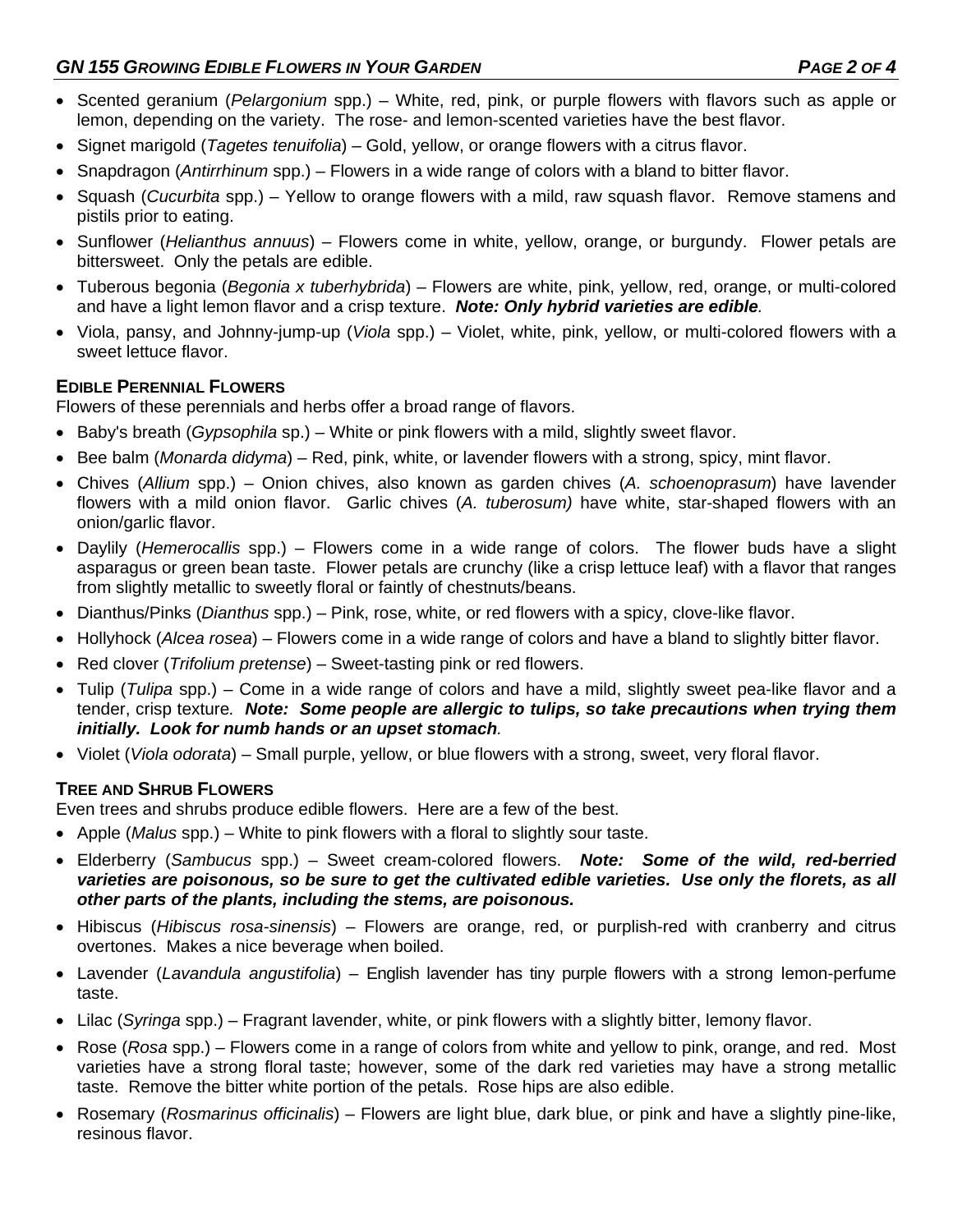- Scented geranium (*Pelargonium* spp.) White, red, pink, or purple flowers with flavors such as apple or lemon, depending on the variety. The rose- and lemon-scented varieties have the best flavor.
- Signet marigold (*Tagetes tenuifolia*) Gold, yellow, or orange flowers with a citrus flavor.
- Snapdragon (*Antirrhinum* spp.) Flowers in a wide range of colors with a bland to bitter flavor.
- Squash (*Cucurbita* spp.) Yellow to orange flowers with a mild, raw squash flavor. Remove stamens and pistils prior to eating.
- Sunflower (*Helianthus annuus*) Flowers come in white, yellow, orange, or burgundy. Flower petals are bittersweet. Only the petals are edible.
- Tuberous begonia (*Begonia x tuberhybrida*) Flowers are white, pink, yellow, red, orange, or multi-colored and have a light lemon flavor and a crisp texture. *Note: Only hybrid varieties are edible.*
- Viola, pansy, and Johnny-jump-up (*Viola* spp.) Violet, white, pink, yellow, or multi-colored flowers with a sweet lettuce flavor.

#### **EDIBLE PERENNIAL FLOWERS**

Flowers of these perennials and herbs offer a broad range of flavors.

- Baby's breath (*Gypsophila* sp.) White or pink flowers with a mild, slightly sweet flavor.
- Bee balm (*Monarda didyma*) Red, pink, white, or lavender flowers with a strong, spicy, mint flavor.
- Chives (*Allium* spp.) Onion chives, also known as garden chives (*A. schoenoprasum*) have lavender flowers with a mild onion flavor. Garlic chives (*A. tuberosum)* have white, star-shaped flowers with an onion/garlic flavor.
- Daylily (*Hemerocallis* spp.) Flowers come in a wide range of colors. The flower buds have a slight asparagus or green bean taste. Flower petals are crunchy (like a crisp lettuce leaf) with a flavor that ranges from slightly metallic to sweetly floral or faintly of chestnuts/beans.
- Dianthus/Pinks (*Dianthus* spp.) Pink, rose, white, or red flowers with a spicy, clove-like flavor.
- Hollyhock (*Alcea rosea*) Flowers come in a wide range of colors and have a bland to slightly bitter flavor.
- Red clover (*Trifolium pretense*) Sweet-tasting pink or red flowers.
- Tulip (*Tulipa* spp.) Come in a wide range of colors and have a mild, slightly sweet pea-like flavor and a tender, crisp texture*. Note:**Some people are allergic to tulips, so take precautions when trying them initially. Look for numb hands or an upset stomach.*
- Violet (*Viola odorata*) Small purple, yellow, or blue flowers with a strong, sweet, very floral flavor.

#### **TREE AND SHRUB FLOWERS**

Even trees and shrubs produce edible flowers. Here are a few of the best.

- Apple (*Malus* spp.) White to pink flowers with a floral to slightly sour taste.
- Elderberry (*Sambucus* spp.) Sweet cream-colored flowers. *Note: Some of the wild, red-berried varieties are poisonous, so be sure to get the cultivated edible varieties. Use only the florets, as all other parts of the plants, including the stems, are poisonous.*
- Hibiscus (*Hibiscus rosa-sinensis*) Flowers are orange, red, or purplish-red with cranberry and citrus overtones. Makes a nice beverage when boiled.
- Lavender (*Lavandula angustifolia*) English lavender has tiny purple flowers with a strong lemon-perfume taste.
- Lilac (*Syringa* spp.) Fragrant lavender, white, or pink flowers with a slightly bitter, lemony flavor.
- Rose (*Rosa* spp.) Flowers come in a range of colors from white and yellow to pink, orange, and red. Most varieties have a strong floral taste; however, some of the dark red varieties may have a strong metallic taste. Remove the bitter white portion of the petals. Rose hips are also edible.
- Rosemary (*Rosmarinus officinalis*) Flowers are light blue, dark blue, or pink and have a slightly pine-like, resinous flavor.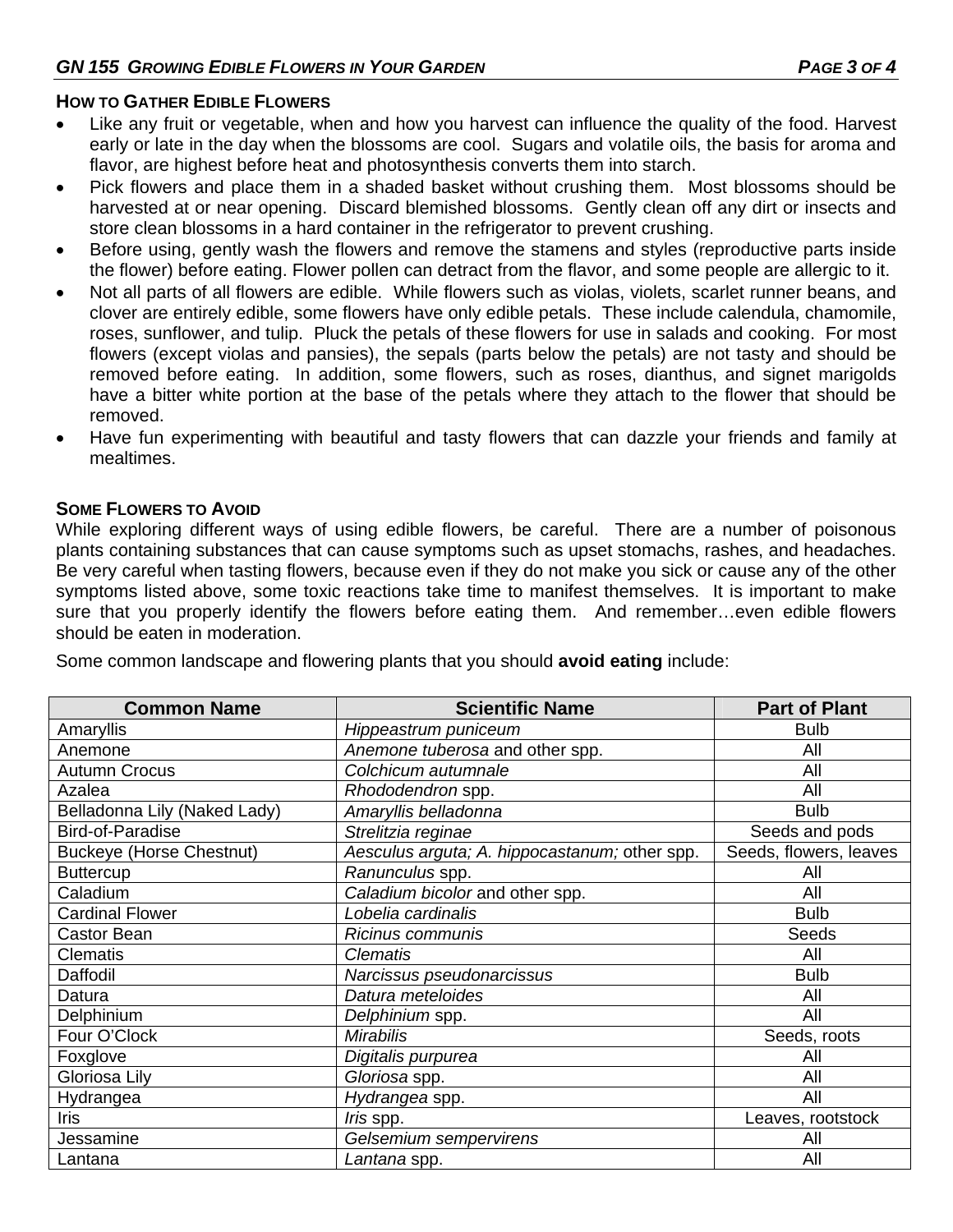#### **HOW TO GATHER EDIBLE FLOWERS**

- Like any fruit or vegetable, when and how you harvest can influence the quality of the food. Harvest early or late in the day when the blossoms are cool. Sugars and volatile oils, the basis for aroma and flavor, are highest before heat and photosynthesis converts them into starch.
- Pick flowers and place them in a shaded basket without crushing them. Most blossoms should be harvested at or near opening. Discard blemished blossoms. Gently clean off any dirt or insects and store clean blossoms in a hard container in the refrigerator to prevent crushing.
- Before using, gently wash the flowers and remove the stamens and styles (reproductive parts inside the flower) before eating. Flower pollen can detract from the flavor, and some people are allergic to it.
- Not all parts of all flowers are edible. While flowers such as violas, violets, scarlet runner beans, and clover are entirely edible, some flowers have only edible petals. These include calendula, chamomile, roses, sunflower, and tulip. Pluck the petals of these flowers for use in salads and cooking. For most flowers (except violas and pansies), the sepals (parts below the petals) are not tasty and should be removed before eating. In addition, some flowers, such as roses, dianthus, and signet marigolds have a bitter white portion at the base of the petals where they attach to the flower that should be removed.
- Have fun experimenting with beautiful and tasty flowers that can dazzle your friends and family at mealtimes.

#### **SOME FLOWERS TO AVOID**

While exploring different ways of using edible flowers, be careful. There are a number of poisonous plants containing substances that can cause symptoms such as upset stomachs, rashes, and headaches. Be very careful when tasting flowers, because even if they do not make you sick or cause any of the other symptoms listed above, some toxic reactions take time to manifest themselves. It is important to make sure that you properly identify the flowers before eating them. And remember...even edible flowers should be eaten in moderation.

| <b>Common Name</b>              | <b>Scientific Name</b>                        | <b>Part of Plant</b>   |
|---------------------------------|-----------------------------------------------|------------------------|
| Amaryllis                       | Hippeastrum puniceum                          | <b>Bulb</b>            |
| Anemone                         | Anemone tuberosa and other spp.               | All                    |
| <b>Autumn Crocus</b>            | Colchicum autumnale                           | All                    |
| Azalea                          | Rhododendron spp.                             | All                    |
| Belladonna Lily (Naked Lady)    | Amaryllis belladonna                          | <b>Bulb</b>            |
| <b>Bird-of-Paradise</b>         | Strelitzia reginae                            | Seeds and pods         |
| <b>Buckeye (Horse Chestnut)</b> | Aesculus arguta; A. hippocastanum; other spp. | Seeds, flowers, leaves |
| <b>Buttercup</b>                | Ranunculus spp.                               | All                    |
| Caladium                        | Caladium bicolor and other spp.               | All                    |
| <b>Cardinal Flower</b>          | Lobelia cardinalis                            | <b>Bulb</b>            |
| <b>Castor Bean</b>              | Ricinus communis                              | Seeds                  |
| <b>Clematis</b>                 | <b>Clematis</b>                               | All                    |
| Daffodil                        | Narcissus pseudonarcissus                     | <b>Bulb</b>            |
| Datura                          | Datura meteloides                             | All                    |
| Delphinium                      | Delphinium spp.                               | All                    |
| Four O'Clock                    | <b>Mirabilis</b>                              | Seeds, roots           |
| Foxglove                        | Digitalis purpurea                            | All                    |
| Gloriosa Lily                   | Gloriosa spp.                                 | All                    |
| Hydrangea                       | Hydrangea spp.                                | All                    |
| Iris                            | <i>Iris</i> spp.                              | eaves, rootstock       |
| Jessamine                       | Gelsemium sempervirens                        | All                    |
| Lantana                         | Lantana spp.                                  | All                    |
|                                 |                                               |                        |

Some common landscape and flowering plants that you should **avoid eating** include: